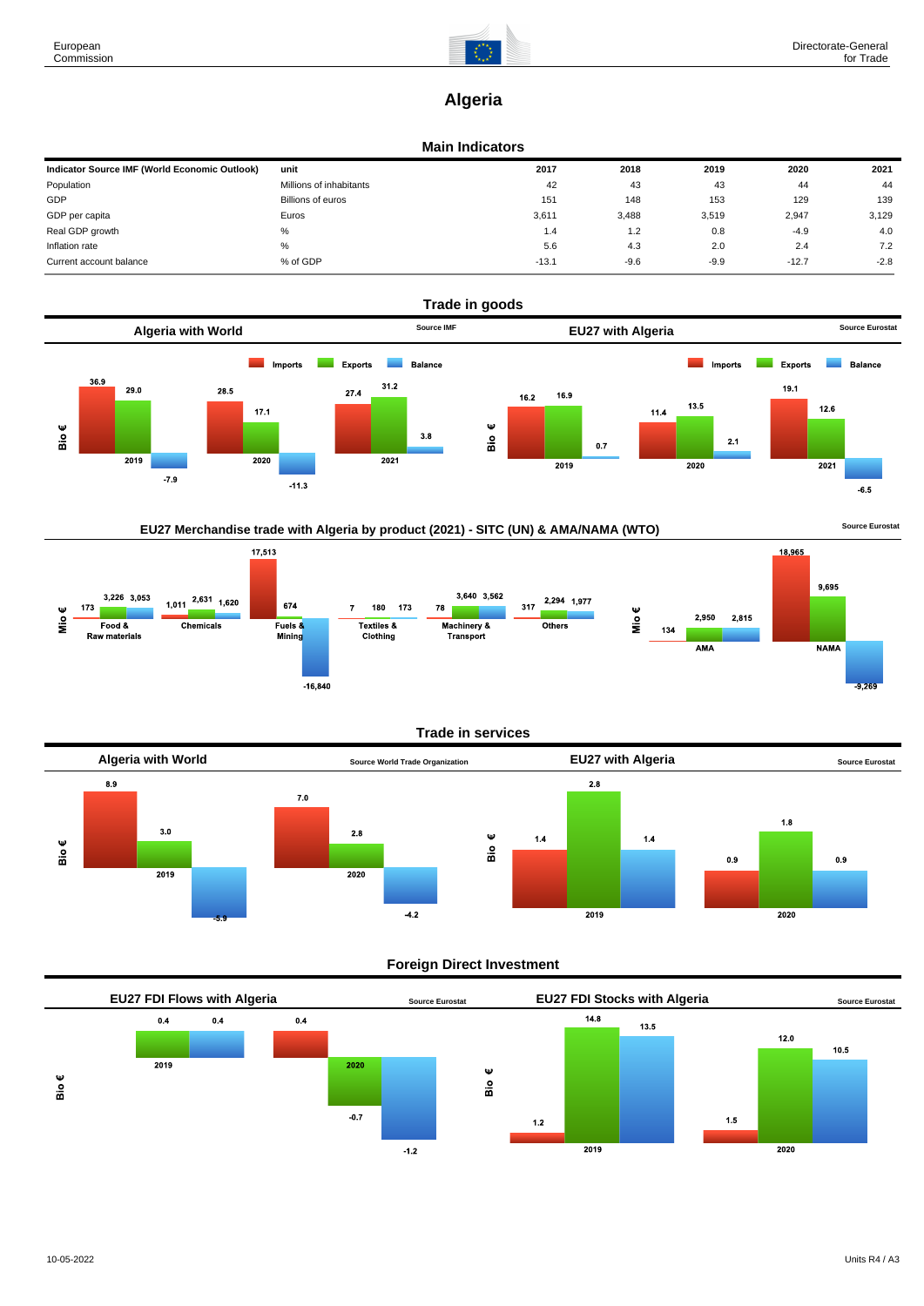

# **Algeria**

#### **Main Indicators**

| Indicator Source IMF (World Economic Outlook) | unit                    | 2017    | 2018   | 2019   | 2020    | 2021   |
|-----------------------------------------------|-------------------------|---------|--------|--------|---------|--------|
| Population                                    | Millions of inhabitants | 42      | 43     | 43     | 44      | 44     |
| GDP                                           | Billions of euros       | 151     | 148    | 153    | 129     | 139    |
| GDP per capita                                | Euros                   | 3,611   | 3,488  | 3,519  | 2,947   | 3,129  |
| Real GDP growth                               | %                       | 1.4     | 1.2    | 0.8    | $-4.9$  | 4.0    |
| Inflation rate                                | $\%$                    | 5.6     | 4.3    | 2.0    | 2.4     | 7.2    |
| Current account balance                       | % of GDP                | $-13.1$ | $-9.6$ | $-9.9$ | $-12.7$ | $-2.8$ |



## EU27 Merchandise trade with Algeria by product (2021) - SITC (UN) & AMA/NAMA (WTO) **Source Eurostat**



#### **Trade in services**



#### **Foreign Direct Investment**